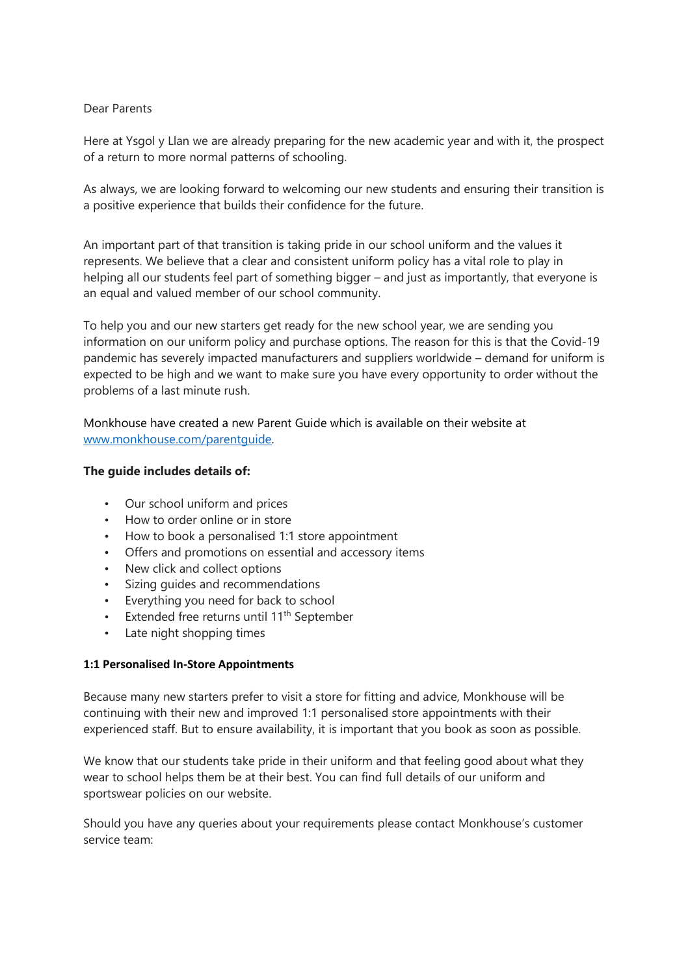## Dear Parents

Here at Ysgol y Llan we are already preparing for the new academic year and with it, the prospect of a return to more normal patterns of schooling.

As always, we are looking forward to welcoming our new students and ensuring their transition is a positive experience that builds their confidence for the future.

An important part of that transition is taking pride in our school uniform and the values it represents. We believe that a clear and consistent uniform policy has a vital role to play in helping all our students feel part of something bigger – and just as importantly, that everyone is an equal and valued member of our school community.

To help you and our new starters get ready for the new school year, we are sending you information on our uniform policy and purchase options. The reason for this is that the Covid-19 pandemic has severely impacted manufacturers and suppliers worldwide – demand for uniform is expected to be high and we want to make sure you have every opportunity to order without the problems of a last minute rush.

Monkhouse have created a new Parent Guide which is available on their website at [www.monkhouse.com/](http://www.monkhouse.com/)parentguide.

## **The guide includes details of:**

- Our school uniform and prices
- How to order online or in store
- How to book a personalised 1:1 store appointment
- Offers and promotions on essential and accessory items
- New click and collect options
- Sizing guides and recommendations
- Everything you need for back to school
- Extended free returns until 11<sup>th</sup> September
- Late night shopping times

## **1:1 Personalised In-Store Appointments**

Because many new starters prefer to visit a store for fitting and advice, Monkhouse will be continuing with their new and improved 1:1 personalised store appointments with their experienced staff. But to ensure availability, it is important that you book as soon as possible.

We know that our students take pride in their uniform and that feeling good about what they wear to school helps them be at their best. You can find full details of our uniform and sportswear policies on our website.

Should you have any queries about your requirements please contact Monkhouse's customer service team: